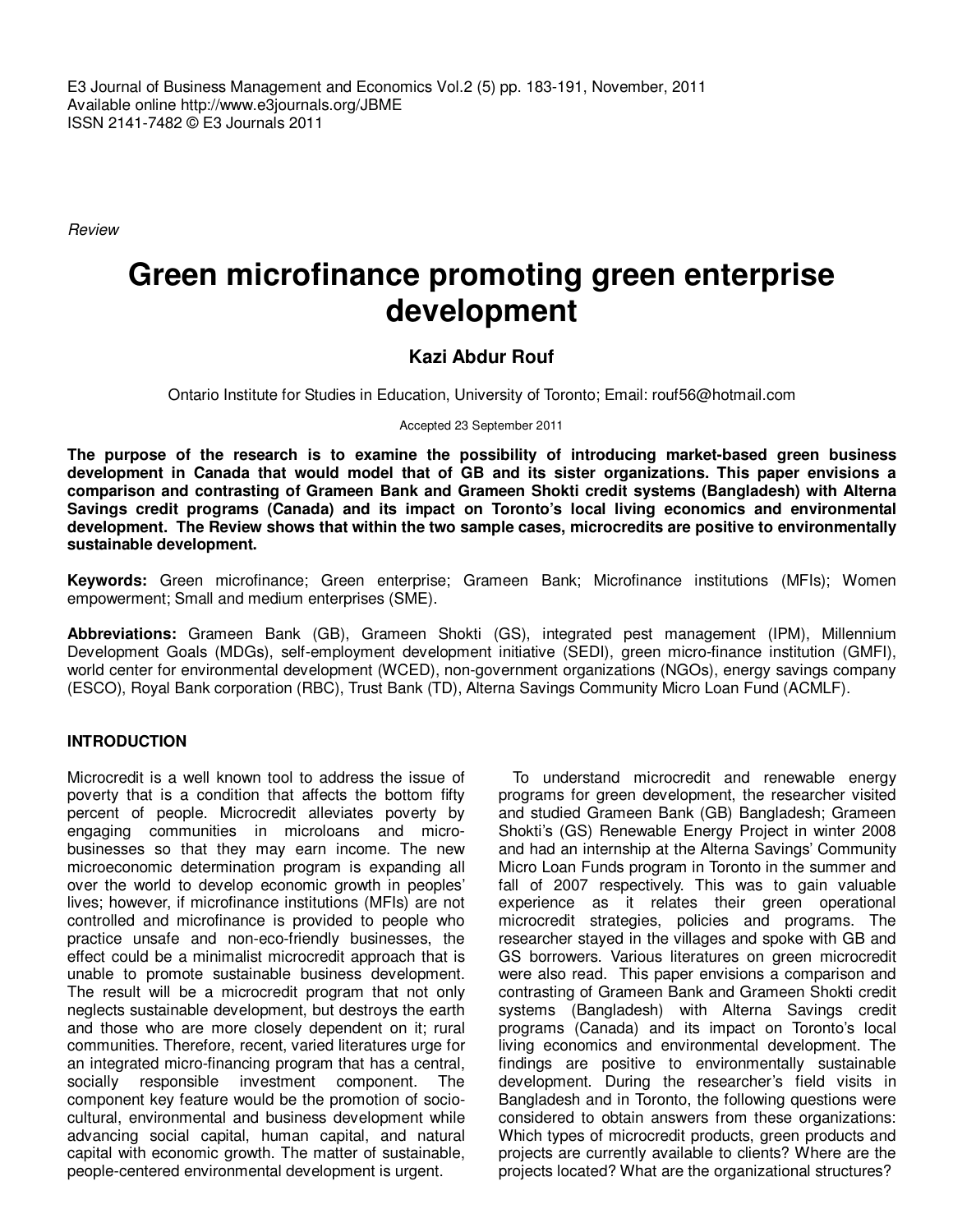E3 Journal of Business Management and Economics Vol.2 (5) pp. 183-191, November, 2011 Available online http://www.e3journals.org/JBME ISSN 2141-7482 © E3 Journals 2011

Review

# **Green microfinance promoting green enterprise development**

# **Kazi Abdur Rouf**

Ontario Institute for Studies in Education, University of Toronto; Email: rouf56@hotmail.com

Accepted 23 September 2011

**The purpose of the research is to examine the possibility of introducing market-based green business development in Canada that would model that of GB and its sister organizations. This paper envisions a comparison and contrasting of Grameen Bank and Grameen Shokti credit systems (Bangladesh) with Alterna Savings credit programs (Canada) and its impact on Toronto's local living economics and environmental development. The Review shows that within the two sample cases, microcredits are positive to environmentally sustainable development.** 

**Keywords:** Green microfinance; Green enterprise; Grameen Bank; Microfinance institutions (MFIs); Women empowerment; Small and medium enterprises (SME).

**Abbreviations:** Grameen Bank (GB), Grameen Shokti (GS), integrated pest management (IPM), Millennium Development Goals (MDGs), self-employment development initiative (SEDI), green micro-finance institution (GMFI), world center for environmental development (WCED), non-government organizations (NGOs), energy savings company (ESCO), Royal Bank corporation (RBC), Trust Bank (TD), Alterna Savings Community Micro Loan Fund (ACMLF).

# **INTRODUCTION**

Microcredit is a well known tool to address the issue of poverty that is a condition that affects the bottom fifty percent of people. Microcredit alleviates poverty by engaging communities in microloans and microbusinesses so that they may earn income. The new microeconomic determination program is expanding all over the world to develop economic growth in peoples' lives; however, if microfinance institutions (MFIs) are not controlled and microfinance is provided to people who practice unsafe and non-eco-friendly businesses, the effect could be a minimalist microcredit approach that is unable to promote sustainable business development. The result will be a microcredit program that not only neglects sustainable development, but destroys the earth and those who are more closely dependent on it; rural communities. Therefore, recent, varied literatures urge for an integrated micro-financing program that has a central, socially responsible investment component. The component key feature would be the promotion of sociocultural, environmental and business development while advancing social capital, human capital, and natural capital with economic growth. The matter of sustainable, people-centered environmental development is urgent.

To understand microcredit and renewable energy programs for green development, the researcher visited and studied Grameen Bank (GB) Bangladesh; Grameen Shokti's (GS) Renewable Energy Project in winter 2008 and had an internship at the Alterna Savings' Community Micro Loan Funds program in Toronto in the summer and fall of 2007 respectively. This was to gain valuable experience as it relates their green operational microcredit strategies, policies and programs. The researcher stayed in the villages and spoke with GB and GS borrowers. Various literatures on green microcredit were also read. This paper envisions a comparison and contrasting of Grameen Bank and Grameen Shokti credit systems (Bangladesh) with Alterna Savings credit programs (Canada) and its impact on Toronto's local living economics and environmental development. The findings are positive to environmentally sustainable development. During the researcher's field visits in Bangladesh and in Toronto, the following questions were considered to obtain answers from these organizations: Which types of microcredit products, green products and projects are currently available to clients? Where are the projects located? What are the organizational structures?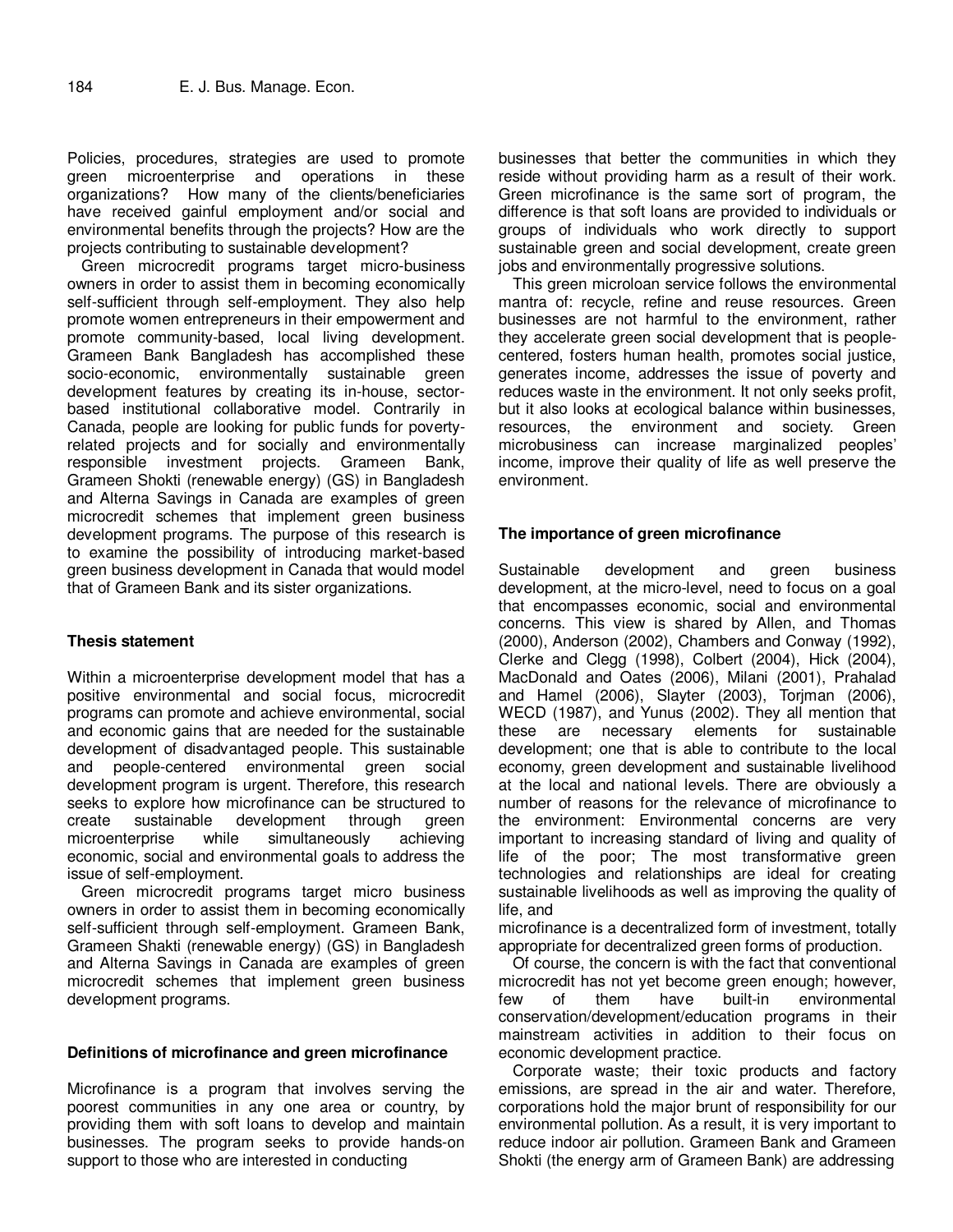Policies, procedures, strategies are used to promote green microenterprise and operations in these organizations? How many of the clients/beneficiaries have received gainful employment and/or social and environmental benefits through the projects? How are the projects contributing to sustainable development?

Green microcredit programs target micro-business owners in order to assist them in becoming economically self-sufficient through self-employment. They also help promote women entrepreneurs in their empowerment and promote community-based, local living development. Grameen Bank Bangladesh has accomplished these socio-economic, environmentally sustainable green development features by creating its in-house, sectorbased institutional collaborative model. Contrarily in Canada, people are looking for public funds for povertyrelated projects and for socially and environmentally responsible investment projects. Grameen Bank, Grameen Shokti (renewable energy) (GS) in Bangladesh and Alterna Savings in Canada are examples of green microcredit schemes that implement green business development programs. The purpose of this research is to examine the possibility of introducing market-based green business development in Canada that would model that of Grameen Bank and its sister organizations.

# **Thesis statement**

Within a microenterprise development model that has a positive environmental and social focus, microcredit programs can promote and achieve environmental, social and economic gains that are needed for the sustainable development of disadvantaged people. This sustainable and people-centered environmental green social development program is urgent. Therefore, this research seeks to explore how microfinance can be structured to create sustainable development through green microenterprise while simultaneously achieving economic, social and environmental goals to address the issue of self-employment.

Green microcredit programs target micro business owners in order to assist them in becoming economically self-sufficient through self-employment. Grameen Bank, Grameen Shakti (renewable energy) (GS) in Bangladesh and Alterna Savings in Canada are examples of green microcredit schemes that implement green business development programs.

# **Definitions of microfinance and green microfinance**

Microfinance is a program that involves serving the poorest communities in any one area or country, by providing them with soft loans to develop and maintain businesses. The program seeks to provide hands-on support to those who are interested in conducting

businesses that better the communities in which they reside without providing harm as a result of their work. Green microfinance is the same sort of program, the difference is that soft loans are provided to individuals or groups of individuals who work directly to support sustainable green and social development, create green jobs and environmentally progressive solutions.

This green microloan service follows the environmental mantra of: recycle, refine and reuse resources. Green businesses are not harmful to the environment, rather they accelerate green social development that is peoplecentered, fosters human health, promotes social justice, generates income, addresses the issue of poverty and reduces waste in the environment. It not only seeks profit, but it also looks at ecological balance within businesses, resources, the environment and society. Green microbusiness can increase marginalized peoples' income, improve their quality of life as well preserve the environment.

# **The importance of green microfinance**

Sustainable development and green business development, at the micro-level, need to focus on a goal that encompasses economic, social and environmental concerns. This view is shared by Allen, and Thomas (2000), Anderson (2002), Chambers and Conway (1992), Clerke and Clegg (1998), Colbert (2004), Hick (2004), MacDonald and Oates (2006), Milani (2001), Prahalad and Hamel (2006), Slayter (2003), Torjman (2006), WECD (1987), and Yunus (2002). They all mention that these are necessary elements for sustainable development; one that is able to contribute to the local economy, green development and sustainable livelihood at the local and national levels. There are obviously a number of reasons for the relevance of microfinance to the environment: Environmental concerns are very important to increasing standard of living and quality of life of the poor; The most transformative green technologies and relationships are ideal for creating sustainable livelihoods as well as improving the quality of life, and

microfinance is a decentralized form of investment, totally appropriate for decentralized green forms of production.

Of course, the concern is with the fact that conventional microcredit has not yet become green enough; however,<br>few of them have built-in environmental environmental conservation/development/education programs in their mainstream activities in addition to their focus on economic development practice.

Corporate waste; their toxic products and factory emissions, are spread in the air and water. Therefore, corporations hold the major brunt of responsibility for our environmental pollution. As a result, it is very important to reduce indoor air pollution. Grameen Bank and Grameen Shokti (the energy arm of Grameen Bank) are addressing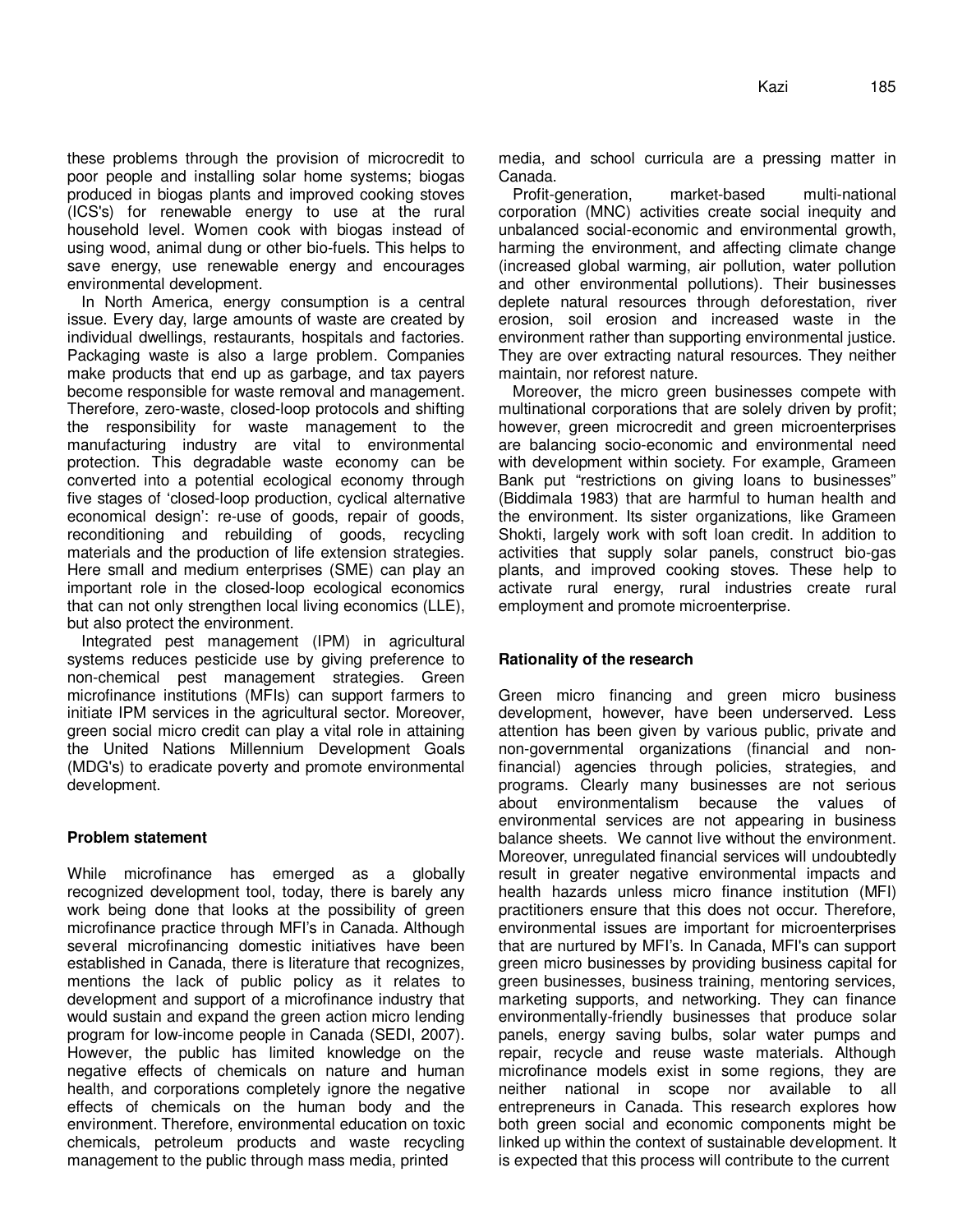these problems through the provision of microcredit to poor people and installing solar home systems; biogas produced in biogas plants and improved cooking stoves (ICS's) for renewable energy to use at the rural household level. Women cook with biogas instead of using wood, animal dung or other bio-fuels. This helps to save energy, use renewable energy and encourages environmental development.

In North America, energy consumption is a central issue. Every day, large amounts of waste are created by individual dwellings, restaurants, hospitals and factories. Packaging waste is also a large problem. Companies make products that end up as garbage, and tax payers become responsible for waste removal and management. Therefore, zero-waste, closed-loop protocols and shifting the responsibility for waste management to the manufacturing industry are vital to environmental protection. This degradable waste economy can be converted into a potential ecological economy through five stages of 'closed-loop production, cyclical alternative economical design': re-use of goods, repair of goods, reconditioning and rebuilding of goods, recycling materials and the production of life extension strategies. Here small and medium enterprises (SME) can play an important role in the closed-loop ecological economics that can not only strengthen local living economics (LLE), but also protect the environment.

Integrated pest management (IPM) in agricultural systems reduces pesticide use by giving preference to non-chemical pest management strategies. Green microfinance institutions (MFIs) can support farmers to initiate IPM services in the agricultural sector. Moreover, green social micro credit can play a vital role in attaining the United Nations Millennium Development Goals (MDG's) to eradicate poverty and promote environmental development.

# **Problem statement**

While microfinance has emerged as a globally recognized development tool, today, there is barely any work being done that looks at the possibility of green microfinance practice through MFI's in Canada. Although several microfinancing domestic initiatives have been established in Canada, there is literature that recognizes, mentions the lack of public policy as it relates to development and support of a microfinance industry that would sustain and expand the green action micro lending program for low-income people in Canada (SEDI, 2007). However, the public has limited knowledge on the negative effects of chemicals on nature and human health, and corporations completely ignore the negative effects of chemicals on the human body and the environment. Therefore, environmental education on toxic chemicals, petroleum products and waste recycling management to the public through mass media, printed

media, and school curricula are a pressing matter in Canada.

Profit-generation, market-based multi-national corporation (MNC) activities create social inequity and unbalanced social-economic and environmental growth, harming the environment, and affecting climate change (increased global warming, air pollution, water pollution and other environmental pollutions). Their businesses deplete natural resources through deforestation, river erosion, soil erosion and increased waste in the environment rather than supporting environmental justice. They are over extracting natural resources. They neither maintain, nor reforest nature.

Moreover, the micro green businesses compete with multinational corporations that are solely driven by profit; however, green microcredit and green microenterprises are balancing socio-economic and environmental need with development within society. For example, Grameen Bank put "restrictions on giving loans to businesses" (Biddimala 1983) that are harmful to human health and the environment. Its sister organizations, like Grameen Shokti, largely work with soft loan credit. In addition to activities that supply solar panels, construct bio-gas plants, and improved cooking stoves. These help to activate rural energy, rural industries create rural employment and promote microenterprise.

# **Rationality of the research**

Green micro financing and green micro business development, however, have been underserved. Less attention has been given by various public, private and non-governmental organizations (financial and nonfinancial) agencies through policies, strategies, and programs. Clearly many businesses are not serious about environmentalism because the values of environmental services are not appearing in business balance sheets. We cannot live without the environment. Moreover, unregulated financial services will undoubtedly result in greater negative environmental impacts and health hazards unless micro finance institution (MFI) practitioners ensure that this does not occur. Therefore, environmental issues are important for microenterprises that are nurtured by MFI's. In Canada, MFI's can support green micro businesses by providing business capital for green businesses, business training, mentoring services, marketing supports, and networking. They can finance environmentally-friendly businesses that produce solar panels, energy saving bulbs, solar water pumps and repair, recycle and reuse waste materials. Although microfinance models exist in some regions, they are neither national in scope nor available to all entrepreneurs in Canada. This research explores how both green social and economic components might be linked up within the context of sustainable development. It is expected that this process will contribute to the current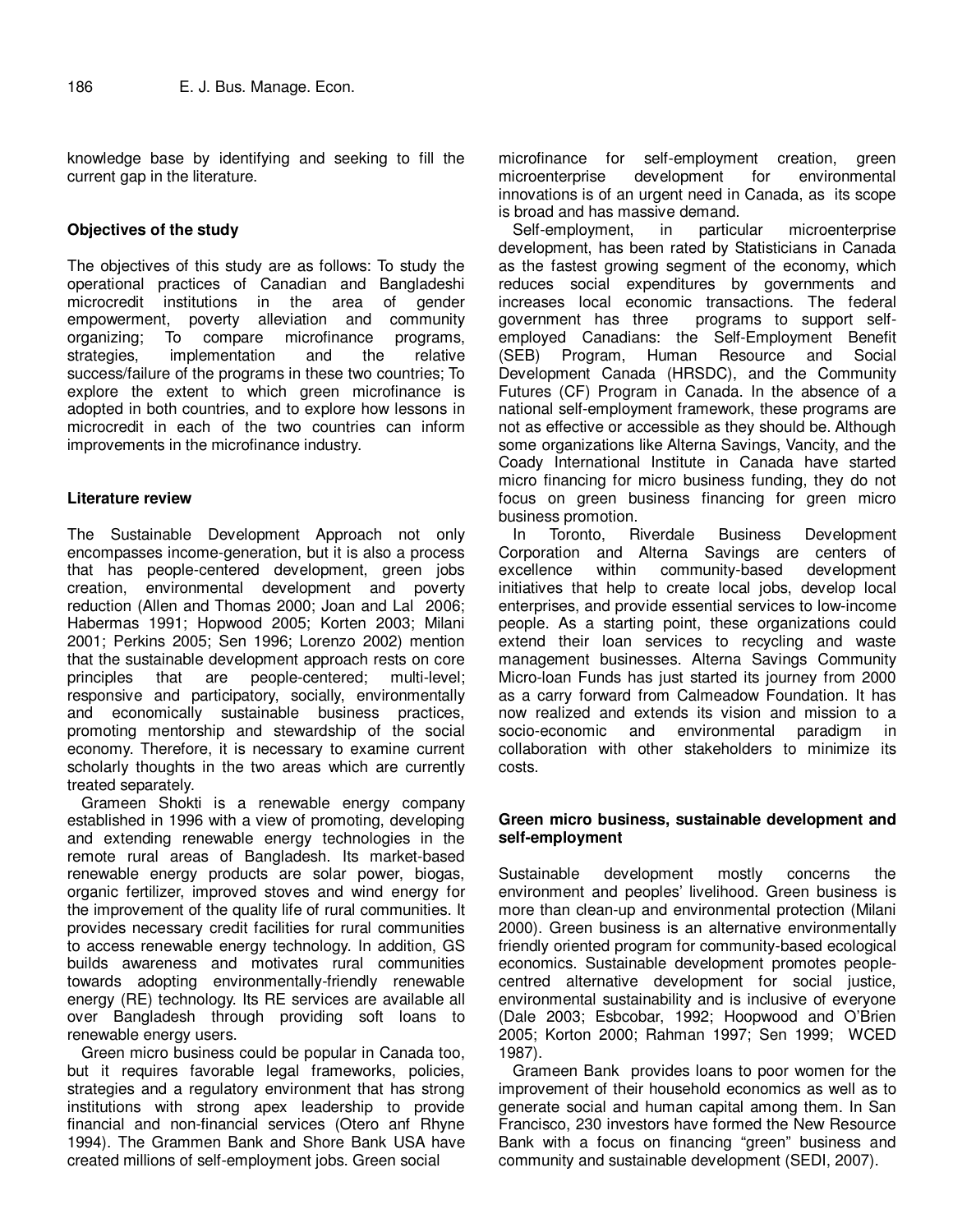knowledge base by identifying and seeking to fill the current gap in the literature.

# **Objectives of the study**

The objectives of this study are as follows: To study the operational practices of Canadian and Bangladeshi microcredit institutions in the area of gender empowerment, poverty alleviation and community organizing; To compare microfinance programs, strategies, implementation and the relative success/failure of the programs in these two countries; To explore the extent to which green microfinance is adopted in both countries, and to explore how lessons in microcredit in each of the two countries can inform improvements in the microfinance industry.

#### **Literature review**

The Sustainable Development Approach not only encompasses income-generation, but it is also a process that has people-centered development, green jobs creation, environmental development and poverty reduction (Allen and Thomas 2000; Joan and Lal 2006; Habermas 1991; Hopwood 2005; Korten 2003; Milani 2001; Perkins 2005; Sen 1996; Lorenzo 2002) mention that the sustainable development approach rests on core principles that are people-centered; multi-level; responsive and participatory, socially, environmentally and economically sustainable business practices, promoting mentorship and stewardship of the social economy. Therefore, it is necessary to examine current scholarly thoughts in the two areas which are currently treated separately.

Grameen Shokti is a renewable energy company established in 1996 with a view of promoting, developing and extending renewable energy technologies in the remote rural areas of Bangladesh. Its market-based renewable energy products are solar power, biogas, organic fertilizer, improved stoves and wind energy for the improvement of the quality life of rural communities. It provides necessary credit facilities for rural communities to access renewable energy technology. In addition, GS builds awareness and motivates rural communities towards adopting environmentally-friendly renewable energy (RE) technology. Its RE services are available all over Bangladesh through providing soft loans to renewable energy users.

Green micro business could be popular in Canada too, but it requires favorable legal frameworks, policies, strategies and a regulatory environment that has strong institutions with strong apex leadership to provide financial and non-financial services (Otero anf Rhyne 1994). The Grammen Bank and Shore Bank USA have created millions of self-employment jobs. Green social

microfinance for self-employment creation, green microenterprise development for environmental innovations is of an urgent need in Canada, as its scope is broad and has massive demand.

Self-employment, in particular microenterprise development, has been rated by Statisticians in Canada as the fastest growing segment of the economy, which reduces social expenditures by governments and increases local economic transactions. The federal government has three programs to support selfemployed Canadians: the Self-Employment Benefit (SEB) Program, Human Resource and Social Development Canada (HRSDC), and the Community Futures (CF) Program in Canada. In the absence of a national self-employment framework, these programs are not as effective or accessible as they should be. Although some organizations like Alterna Savings, Vancity, and the Coady International Institute in Canada have started micro financing for micro business funding, they do not focus on green business financing for green micro business promotion.<br>In Toronto, Riverdale

In Toronto, Riverdale Business Development Corporation and Alterna Savings are centers of excellence within community-based development initiatives that help to create local jobs, develop local enterprises, and provide essential services to low-income people. As a starting point, these organizations could extend their loan services to recycling and waste management businesses. Alterna Savings Community Micro-loan Funds has just started its journey from 2000 as a carry forward from Calmeadow Foundation. It has now realized and extends its vision and mission to a socio-economic and environmental paradigm in collaboration with other stakeholders to minimize its costs.

#### **Green micro business, sustainable development and self-employment**

Sustainable development mostly concerns the environment and peoples' livelihood. Green business is more than clean-up and environmental protection (Milani 2000). Green business is an alternative environmentally friendly oriented program for community-based ecological economics. Sustainable development promotes peoplecentred alternative development for social justice, environmental sustainability and is inclusive of everyone (Dale 2003; Esbcobar, 1992; Hoopwood and O'Brien 2005; Korton 2000; Rahman 1997; Sen 1999; WCED 1987).

Grameen Bank provides loans to poor women for the improvement of their household economics as well as to generate social and human capital among them. In San Francisco, 230 investors have formed the New Resource Bank with a focus on financing "green" business and community and sustainable development (SEDI, 2007).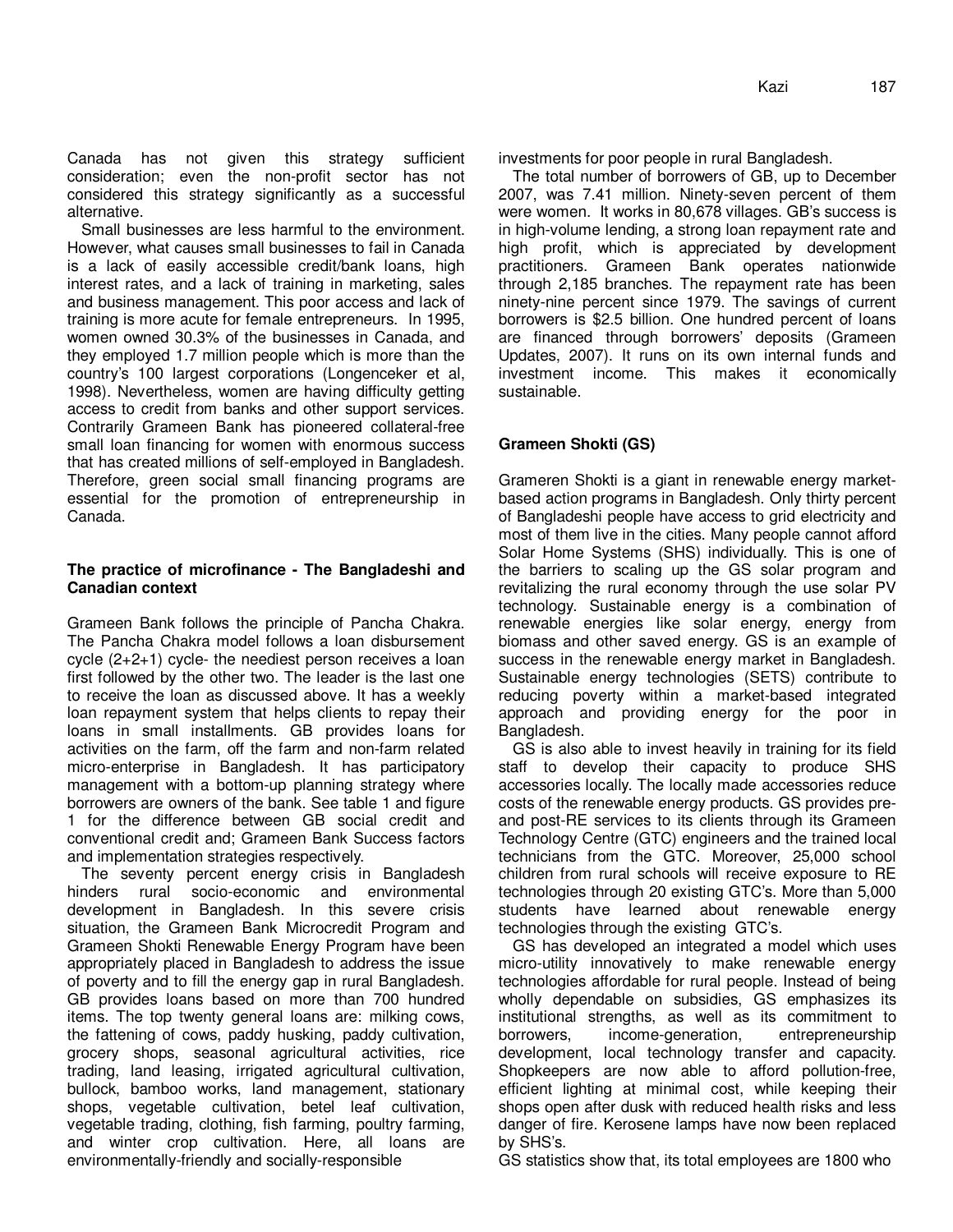Canada has not given this strategy sufficient consideration; even the non-profit sector has not considered this strategy significantly as a successful alternative.

Small businesses are less harmful to the environment. However, what causes small businesses to fail in Canada is a lack of easily accessible credit/bank loans, high interest rates, and a lack of training in marketing, sales and business management. This poor access and lack of training is more acute for female entrepreneurs. In 1995, women owned 30.3% of the businesses in Canada, and they employed 1.7 million people which is more than the country's 100 largest corporations (Longenceker et al, 1998). Nevertheless, women are having difficulty getting access to credit from banks and other support services. Contrarily Grameen Bank has pioneered collateral-free small loan financing for women with enormous success that has created millions of self-employed in Bangladesh. Therefore, green social small financing programs are essential for the promotion of entrepreneurship in Canada.

# **The practice of microfinance - The Bangladeshi and Canadian context**

Grameen Bank follows the principle of Pancha Chakra. The Pancha Chakra model follows a loan disbursement cycle (2+2+1) cycle- the neediest person receives a loan first followed by the other two. The leader is the last one to receive the loan as discussed above. It has a weekly loan repayment system that helps clients to repay their loans in small installments. GB provides loans for activities on the farm, off the farm and non-farm related micro-enterprise in Bangladesh. It has participatory management with a bottom-up planning strategy where borrowers are owners of the bank. See table 1 and figure 1 for the difference between GB social credit and conventional credit and; Grameen Bank Success factors and implementation strategies respectively.

The seventy percent energy crisis in Bangladesh hinders rural socio-economic and environmental development in Bangladesh. In this severe crisis situation, the Grameen Bank Microcredit Program and Grameen Shokti Renewable Energy Program have been appropriately placed in Bangladesh to address the issue of poverty and to fill the energy gap in rural Bangladesh. GB provides loans based on more than 700 hundred items. The top twenty general loans are: milking cows, the fattening of cows, paddy husking, paddy cultivation, grocery shops, seasonal agricultural activities, rice trading, land leasing, irrigated agricultural cultivation, bullock, bamboo works, land management, stationary shops, vegetable cultivation, betel leaf cultivation, vegetable trading, clothing, fish farming, poultry farming, and winter crop cultivation. Here, all loans are environmentally-friendly and socially-responsible

investments for poor people in rural Bangladesh.

The total number of borrowers of GB, up to December 2007, was 7.41 million. Ninety-seven percent of them were women. It works in 80,678 villages. GB's success is in high-volume lending, a strong loan repayment rate and high profit, which is appreciated by development practitioners. Grameen Bank operates nationwide through 2,185 branches. The repayment rate has been ninety-nine percent since 1979. The savings of current borrowers is \$2.5 billion. One hundred percent of loans are financed through borrowers' deposits (Grameen Updates, 2007). It runs on its own internal funds and investment income. This makes it economically sustainable.

# **Grameen Shokti (GS)**

Grameren Shokti is a giant in renewable energy marketbased action programs in Bangladesh. Only thirty percent of Bangladeshi people have access to grid electricity and most of them live in the cities. Many people cannot afford Solar Home Systems (SHS) individually. This is one of the barriers to scaling up the GS solar program and revitalizing the rural economy through the use solar PV technology. Sustainable energy is a combination of renewable energies like solar energy, energy from biomass and other saved energy. GS is an example of success in the renewable energy market in Bangladesh. Sustainable energy technologies (SETS) contribute to reducing poverty within a market-based integrated approach and providing energy for the poor in Bangladesh.

GS is also able to invest heavily in training for its field staff to develop their capacity to produce SHS accessories locally. The locally made accessories reduce costs of the renewable energy products. GS provides preand post-RE services to its clients through its Grameen Technology Centre (GTC) engineers and the trained local technicians from the GTC. Moreover, 25,000 school children from rural schools will receive exposure to RE technologies through 20 existing GTC's. More than 5,000 students have learned about renewable energy technologies through the existing GTC's.

GS has developed an integrated a model which uses micro-utility innovatively to make renewable energy technologies affordable for rural people. Instead of being wholly dependable on subsidies, GS emphasizes its institutional strengths, as well as its commitment to borrowers, income-generation, entrepreneurship development, local technology transfer and capacity. Shopkeepers are now able to afford pollution-free, efficient lighting at minimal cost, while keeping their shops open after dusk with reduced health risks and less danger of fire. Kerosene lamps have now been replaced by SHS's.

GS statistics show that, its total employees are 1800 who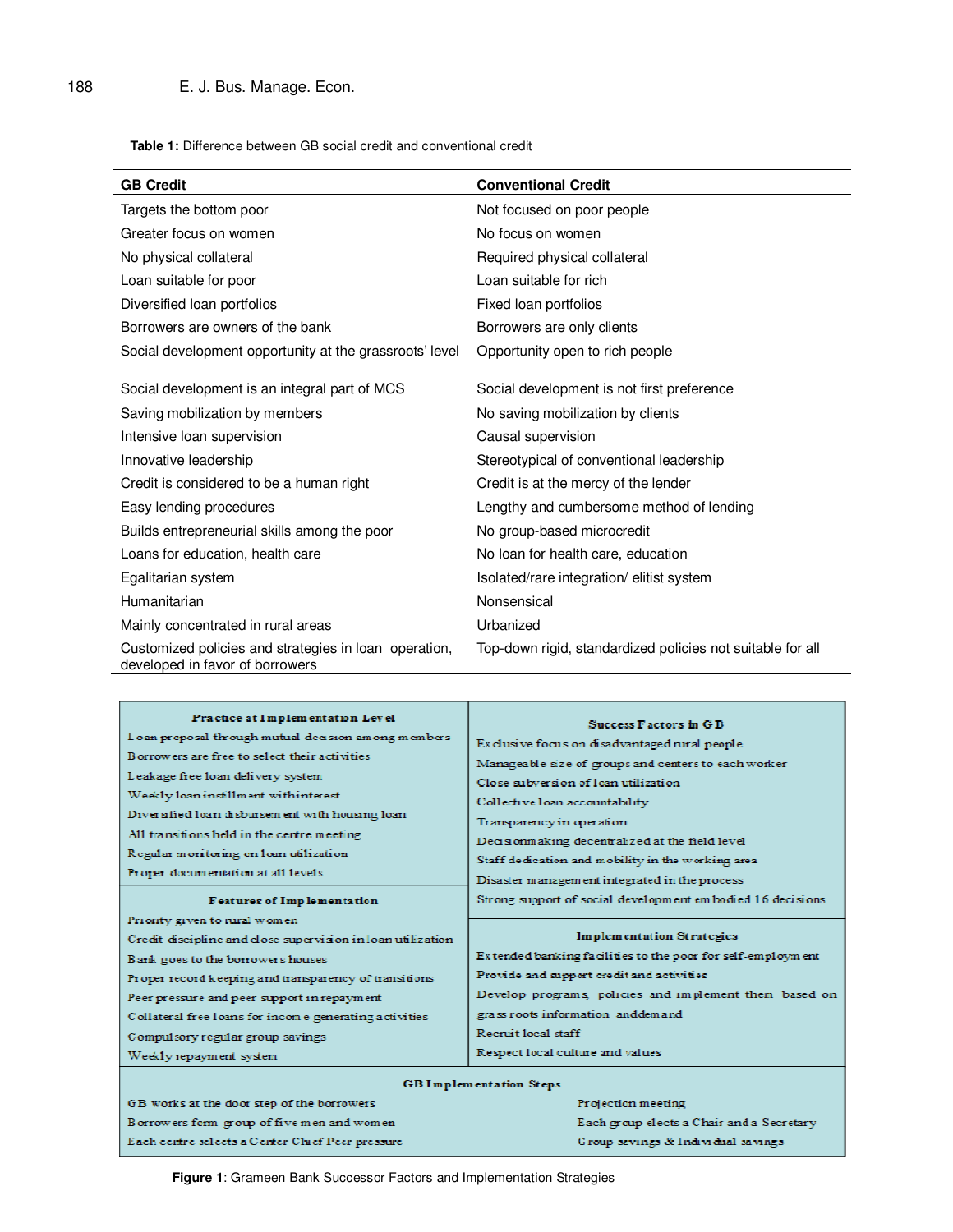**Table 1:** Difference between GB social credit and conventional credit

| <b>GB Credit</b>                                                                         | <b>Conventional Credit</b>                                 |
|------------------------------------------------------------------------------------------|------------------------------------------------------------|
| Targets the bottom poor                                                                  | Not focused on poor people                                 |
| Greater focus on women                                                                   | No focus on women                                          |
| No physical collateral                                                                   | Required physical collateral                               |
| Loan suitable for poor                                                                   | Loan suitable for rich                                     |
| Diversified loan portfolios                                                              | Fixed loan portfolios                                      |
| Borrowers are owners of the bank                                                         | Borrowers are only clients                                 |
| Social development opportunity at the grassroots' level                                  | Opportunity open to rich people                            |
|                                                                                          |                                                            |
| Social development is an integral part of MCS                                            | Social development is not first preference                 |
| Saving mobilization by members                                                           | No saving mobilization by clients                          |
| Intensive loan supervision                                                               | Causal supervision                                         |
| Innovative leadership                                                                    | Stereotypical of conventional leadership                   |
| Credit is considered to be a human right                                                 | Credit is at the mercy of the lender                       |
| Easy lending procedures                                                                  | Lengthy and cumbersome method of lending                   |
| Builds entrepreneurial skills among the poor                                             | No group-based microcredit                                 |
| Loans for education, health care                                                         | No loan for health care, education                         |
| Egalitarian system                                                                       | Isolated/rare integration/ elitist system                  |
| Humanitarian                                                                             | Nonsensical                                                |
| Mainly concentrated in rural areas                                                       | Urbanized                                                  |
| Customized policies and strategies in loan operation,<br>developed in favor of borrowers | Top-down rigid, standardized policies not suitable for all |

| Practice at Implementation Level                            | Success Factors in G B                                      |
|-------------------------------------------------------------|-------------------------------------------------------------|
| Loan proposal through mutual decision among members         | Es dusive focus on disadvantaged rural people               |
| Borrowers are free to select their activities               | Manageable size of groups and centers to each worker        |
| Leakage free loan delivery system                           | Close subversion of loan utilization                        |
| Weekly loan instillment withinterest                        | Collective loan accountability                              |
| Diversified loan disbursement with housing loan             | Transparency in operation                                   |
| All transitions held in the certre meeting                  | Decisionmaking decentralized at the field level             |
| Regular monitoring on loan utilization                      | Staff dedication and mobility in the working area           |
| Proper documentation at all levels.                         | Disaster management integrated in the process               |
| <b>Features of Implementation</b>                           | Strong support of social development embodied 16 decisions  |
| Priority given to rural women                               | Implementation Strategies                                   |
| Credit discipline and close supervision in loan utilization | Extended banking facilities to the poor for self-employment |
| Bank goes to the borrowers houses                           | Provide and support credit and activities                   |
| Proper record keeping and transparency of transitions       | Develop programs, policies and implement them based on      |
| Peer pressure and peer support in repayment                 | grass roots information anddemand                           |
| Collateral free loans for income generating activities      | Recruit local staff                                         |
| Compulsory regular group savings                            | Respect local culture and values                            |
| Weekly repayment system                                     | <b>GBI</b> mplementation Steps                              |

| Projection meeting                        |
|-------------------------------------------|
| Each group elects a Chair and a Secretary |
| Group savings & Individual savings        |
|                                           |

**Figure 1**: Grameen Bank Successor Factors and Implementation Strategies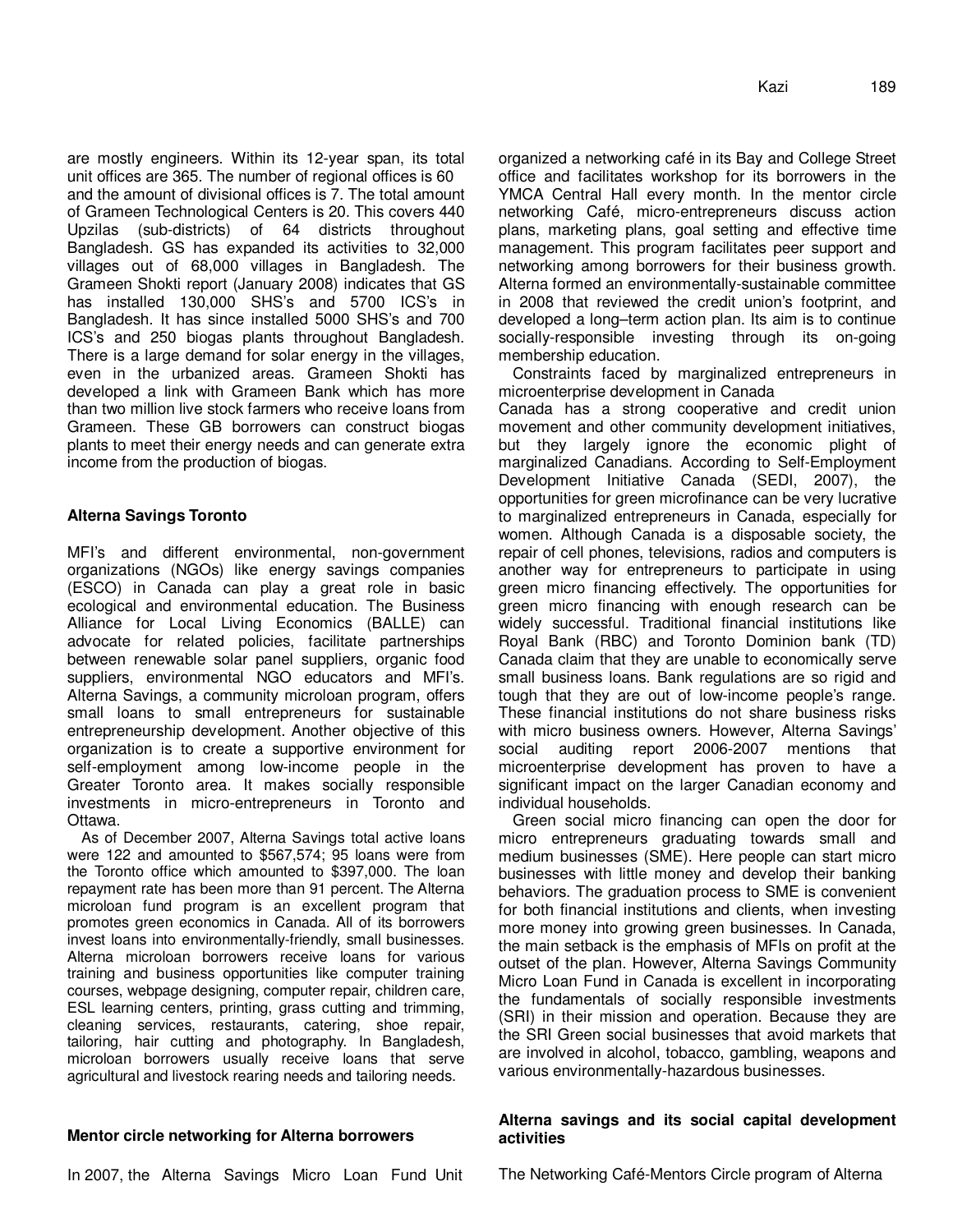are mostly engineers. Within its 12-year span, its total unit offices are 365. The number of regional offices is 60 and the amount of divisional offices is 7. The total amount of Grameen Technological Centers is 20. This covers 440 Upzilas (sub-districts) of 64 districts throughout Bangladesh. GS has expanded its activities to 32,000 villages out of 68,000 villages in Bangladesh. The Grameen Shokti report (January 2008) indicates that GS has installed 130,000 SHS's and 5700 ICS's in Bangladesh. It has since installed 5000 SHS's and 700 ICS's and 250 biogas plants throughout Bangladesh. There is a large demand for solar energy in the villages, even in the urbanized areas. Grameen Shokti has developed a link with Grameen Bank which has more than two million live stock farmers who receive loans from Grameen. These GB borrowers can construct biogas plants to meet their energy needs and can generate extra income from the production of biogas.

# **Alterna Savings Toronto**

MFI's and different environmental, non-government organizations (NGOs) like energy savings companies (ESCO) in Canada can play a great role in basic ecological and environmental education. The Business Alliance for Local Living Economics (BALLE) can advocate for related policies, facilitate partnerships between renewable solar panel suppliers, organic food suppliers, environmental NGO educators and MFI's. Alterna Savings, a community microloan program, offers small loans to small entrepreneurs for sustainable entrepreneurship development. Another objective of this organization is to create a supportive environment for self-employment among low-income people in the Greater Toronto area. It makes socially responsible investments in micro-entrepreneurs in Toronto and Ottawa.

As of December 2007, Alterna Savings total active loans were 122 and amounted to \$567,574; 95 loans were from the Toronto office which amounted to \$397,000. The loan repayment rate has been more than 91 percent. The Alterna microloan fund program is an excellent program that promotes green economics in Canada. All of its borrowers invest loans into environmentally-friendly, small businesses. Alterna microloan borrowers receive loans for various training and business opportunities like computer training courses, webpage designing, computer repair, children care, ESL learning centers, printing, grass cutting and trimming, cleaning services, restaurants, catering, shoe repair, tailoring, hair cutting and photography. In Bangladesh, microloan borrowers usually receive loans that serve agricultural and livestock rearing needs and tailoring needs.

# **Mentor circle networking for Alterna borrowers**

organized a networking café in its Bay and College Street office and facilitates workshop for its borrowers in the YMCA Central Hall every month. In the mentor circle networking Café, micro-entrepreneurs discuss action plans, marketing plans, goal setting and effective time management. This program facilitates peer support and networking among borrowers for their business growth. Alterna formed an environmentally-sustainable committee in 2008 that reviewed the credit union's footprint, and developed a long–term action plan. Its aim is to continue socially-responsible investing through its on-going membership education.

Constraints faced by marginalized entrepreneurs in microenterprise development in Canada

Canada has a strong cooperative and credit union movement and other community development initiatives, but they largely ignore the economic plight of marginalized Canadians. According to Self-Employment Development Initiative Canada (SEDI, 2007), the opportunities for green microfinance can be very lucrative to marginalized entrepreneurs in Canada, especially for women. Although Canada is a disposable society, the repair of cell phones, televisions, radios and computers is another way for entrepreneurs to participate in using green micro financing effectively. The opportunities for green micro financing with enough research can be widely successful. Traditional financial institutions like Royal Bank (RBC) and Toronto Dominion bank (TD) Canada claim that they are unable to economically serve small business loans. Bank regulations are so rigid and tough that they are out of low-income people's range. These financial institutions do not share business risks with micro business owners. However, Alterna Savings' social auditing report 2006-2007 mentions that microenterprise development has proven to have a significant impact on the larger Canadian economy and individual households.

Green social micro financing can open the door for micro entrepreneurs graduating towards small and medium businesses (SME). Here people can start micro businesses with little money and develop their banking behaviors. The graduation process to SME is convenient for both financial institutions and clients, when investing more money into growing green businesses. In Canada, the main setback is the emphasis of MFIs on profit at the outset of the plan. However, Alterna Savings Community Micro Loan Fund in Canada is excellent in incorporating the fundamentals of socially responsible investments (SRI) in their mission and operation. Because they are the SRI Green social businesses that avoid markets that are involved in alcohol, tobacco, gambling, weapons and various environmentally-hazardous businesses.

# **Alterna savings and its social capital development activities**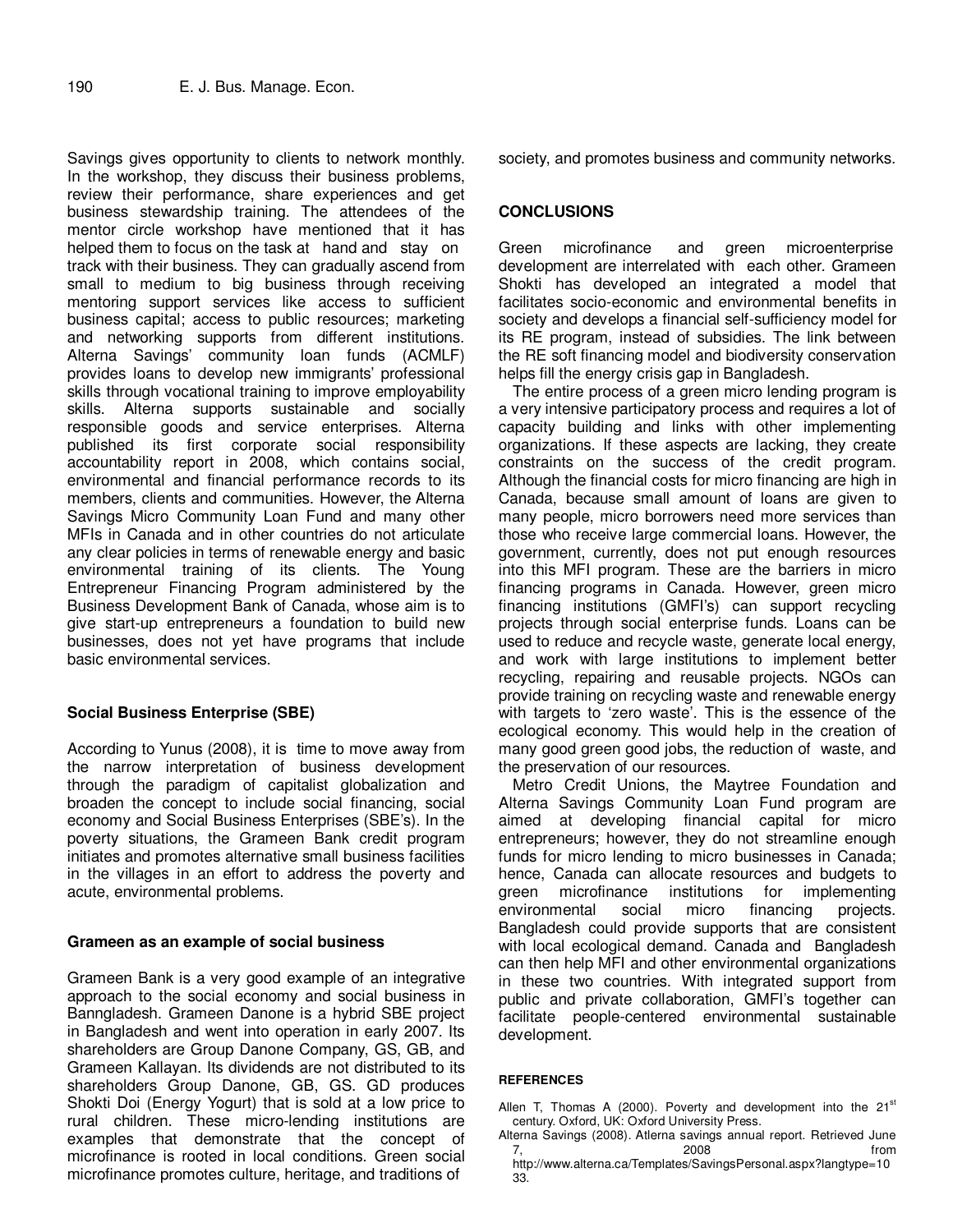Savings gives opportunity to clients to network monthly. In the workshop, they discuss their business problems, review their performance, share experiences and get business stewardship training. The attendees of the mentor circle workshop have mentioned that it has helped them to focus on the task at hand and stay on track with their business. They can gradually ascend from small to medium to big business through receiving mentoring support services like access to sufficient business capital; access to public resources; marketing and networking supports from different institutions. Alterna Savings' community loan funds (ACMLF) provides loans to develop new immigrants' professional skills through vocational training to improve employability skills. Alterna supports sustainable and socially responsible goods and service enterprises. Alterna published its first corporate social responsibility accountability report in 2008, which contains social, environmental and financial performance records to its members, clients and communities. However, the Alterna Savings Micro Community Loan Fund and many other MFIs in Canada and in other countries do not articulate any clear policies in terms of renewable energy and basic environmental training of its clients. The Young Entrepreneur Financing Program administered by the Business Development Bank of Canada, whose aim is to give start-up entrepreneurs a foundation to build new businesses, does not yet have programs that include basic environmental services.

# **Social Business Enterprise (SBE)**

According to Yunus (2008), it is time to move away from the narrow interpretation of business development through the paradigm of capitalist globalization and broaden the concept to include social financing, social economy and Social Business Enterprises (SBE's). In the poverty situations, the Grameen Bank credit program initiates and promotes alternative small business facilities in the villages in an effort to address the poverty and acute, environmental problems.

#### **Grameen as an example of social business**

Grameen Bank is a very good example of an integrative approach to the social economy and social business in Banngladesh. Grameen Danone is a hybrid SBE project in Bangladesh and went into operation in early 2007. Its shareholders are Group Danone Company, GS, GB, and Grameen Kallayan. Its dividends are not distributed to its shareholders Group Danone, GB, GS. GD produces Shokti Doi (Energy Yogurt) that is sold at a low price to rural children. These micro-lending institutions are examples that demonstrate that the concept of microfinance is rooted in local conditions. Green social microfinance promotes culture, heritage, and traditions of

society, and promotes business and community networks.

#### **CONCLUSIONS**

Green microfinance and green microenterprise development are interrelated with each other. Grameen Shokti has developed an integrated a model that facilitates socio-economic and environmental benefits in society and develops a financial self-sufficiency model for its RE program, instead of subsidies. The link between the RE soft financing model and biodiversity conservation helps fill the energy crisis gap in Bangladesh.

The entire process of a green micro lending program is a very intensive participatory process and requires a lot of capacity building and links with other implementing organizations. If these aspects are lacking, they create constraints on the success of the credit program. Although the financial costs for micro financing are high in Canada, because small amount of loans are given to many people, micro borrowers need more services than those who receive large commercial loans. However, the government, currently, does not put enough resources into this MFI program. These are the barriers in micro financing programs in Canada. However, green micro financing institutions (GMFI's) can support recycling projects through social enterprise funds. Loans can be used to reduce and recycle waste, generate local energy, and work with large institutions to implement better recycling, repairing and reusable projects. NGOs can provide training on recycling waste and renewable energy with targets to 'zero waste'. This is the essence of the ecological economy. This would help in the creation of many good green good jobs, the reduction of waste, and the preservation of our resources.

Metro Credit Unions, the Maytree Foundation and Alterna Savings Community Loan Fund program are aimed at developing financial capital for micro entrepreneurs; however, they do not streamline enough funds for micro lending to micro businesses in Canada; hence, Canada can allocate resources and budgets to green microfinance institutions for implementing environmental social micro financing projects. Bangladesh could provide supports that are consistent with local ecological demand. Canada and Bangladesh can then help MFI and other environmental organizations in these two countries. With integrated support from public and private collaboration, GMFI's together can facilitate people-centered environmental sustainable development.

#### **REFERENCES**

Allen T, Thomas A (2000). Poverty and development into the  $21<sup>st</sup>$ century. Oxford, UK: Oxford University Press.

Alterna Savings (2008). Atlerna savings annual report. Retrieved June 7, 2008 from

http://www.alterna.ca/Templates/SavingsPersonal.aspx?langtype=10 33.